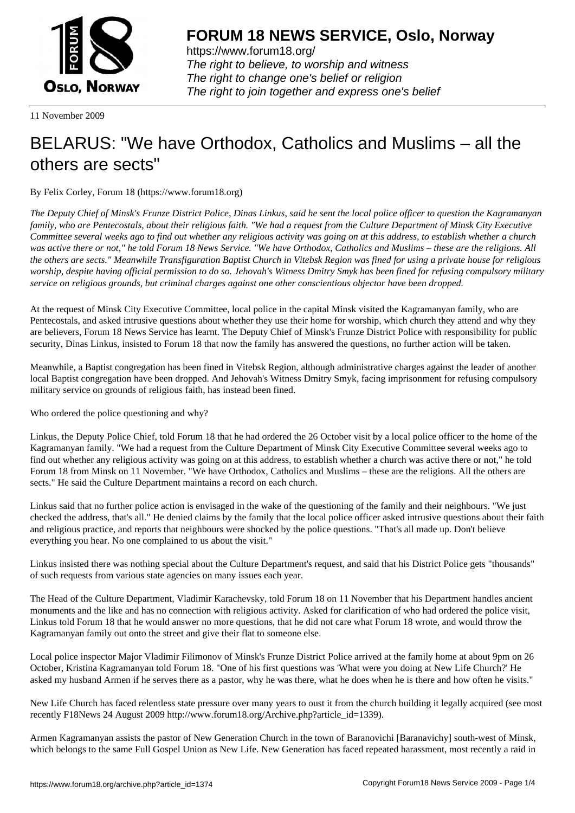

https://www.forum18.org/ The right to believe, to worship and witness The right to change one's belief or religion [The right to join together a](https://www.forum18.org/)nd express one's belief

11 November 2009

## [BELARUS: "We](https://www.forum18.org) have Orthodox, Catholics and Muslims – all the others are sects"

By Felix Corley, Forum 18 (https://www.forum18.org)

*The Deputy Chief of Minsk's Frunze District Police, Dinas Linkus, said he sent the local police officer to question the Kagramanyan family, who are Pentecostals, about their religious faith. "We had a request from the Culture Department of Minsk City Executive Committee several weeks ago to find out whether any religious activity was going on at this address, to establish whether a church was active there or not," he told Forum 18 News Service. "We have Orthodox, Catholics and Muslims – these are the religions. All the others are sects." Meanwhile Transfiguration Baptist Church in Vitebsk Region was fined for using a private house for religious worship, despite having official permission to do so. Jehovah's Witness Dmitry Smyk has been fined for refusing compulsory military service on religious grounds, but criminal charges against one other conscientious objector have been dropped.*

At the request of Minsk City Executive Committee, local police in the capital Minsk visited the Kagramanyan family, who are Pentecostals, and asked intrusive questions about whether they use their home for worship, which church they attend and why they are believers, Forum 18 News Service has learnt. The Deputy Chief of Minsk's Frunze District Police with responsibility for public security, Dinas Linkus, insisted to Forum 18 that now the family has answered the questions, no further action will be taken.

Meanwhile, a Baptist congregation has been fined in Vitebsk Region, although administrative charges against the leader of another local Baptist congregation have been dropped. And Jehovah's Witness Dmitry Smyk, facing imprisonment for refusing compulsory military service on grounds of religious faith, has instead been fined.

Who ordered the police questioning and why?

Linkus, the Deputy Police Chief, told Forum 18 that he had ordered the 26 October visit by a local police officer to the home of the Kagramanyan family. "We had a request from the Culture Department of Minsk City Executive Committee several weeks ago to find out whether any religious activity was going on at this address, to establish whether a church was active there or not," he told Forum 18 from Minsk on 11 November. "We have Orthodox, Catholics and Muslims – these are the religions. All the others are sects." He said the Culture Department maintains a record on each church.

Linkus said that no further police action is envisaged in the wake of the questioning of the family and their neighbours. "We just checked the address, that's all." He denied claims by the family that the local police officer asked intrusive questions about their faith and religious practice, and reports that neighbours were shocked by the police questions. "That's all made up. Don't believe everything you hear. No one complained to us about the visit."

Linkus insisted there was nothing special about the Culture Department's request, and said that his District Police gets "thousands" of such requests from various state agencies on many issues each year.

The Head of the Culture Department, Vladimir Karachevsky, told Forum 18 on 11 November that his Department handles ancient monuments and the like and has no connection with religious activity. Asked for clarification of who had ordered the police visit, Linkus told Forum 18 that he would answer no more questions, that he did not care what Forum 18 wrote, and would throw the Kagramanyan family out onto the street and give their flat to someone else.

Local police inspector Major Vladimir Filimonov of Minsk's Frunze District Police arrived at the family home at about 9pm on 26 October, Kristina Kagramanyan told Forum 18. "One of his first questions was 'What were you doing at New Life Church?' He asked my husband Armen if he serves there as a pastor, why he was there, what he does when he is there and how often he visits."

New Life Church has faced relentless state pressure over many years to oust it from the church building it legally acquired (see most recently F18News 24 August 2009 http://www.forum18.org/Archive.php?article\_id=1339).

Armen Kagramanyan assists the pastor of New Generation Church in the town of Baranovichi [Baranavichy] south-west of Minsk, which belongs to the same Full Gospel Union as New Life. New Generation has faced repeated harassment, most recently a raid in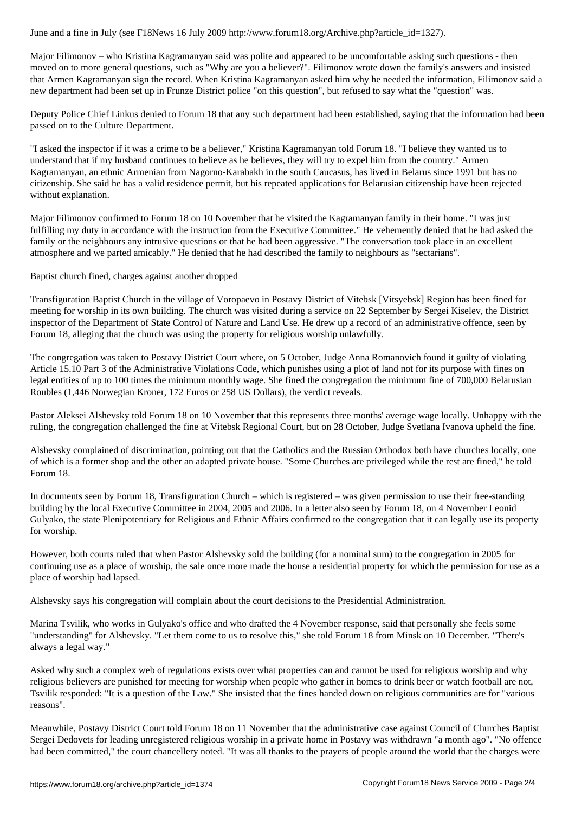Major Filimonov – who Kristina Kagramanyan said was polite and appeared to be uncomfortable asking such questions - then moved on to more general questions, such as "Why are you a believer?". Filimonov wrote down the family's answers and insisted that Armen Kagramanyan sign the record. When Kristina Kagramanyan asked him why he needed the information, Filimonov said a new department had been set up in Frunze District police "on this question", but refused to say what the "question" was.

Deputy Police Chief Linkus denied to Forum 18 that any such department had been established, saying that the information had been passed on to the Culture Department.

"I asked the inspector if it was a crime to be a believer," Kristina Kagramanyan told Forum 18. "I believe they wanted us to understand that if my husband continues to believe as he believes, they will try to expel him from the country." Armen Kagramanyan, an ethnic Armenian from Nagorno-Karabakh in the south Caucasus, has lived in Belarus since 1991 but has no citizenship. She said he has a valid residence permit, but his repeated applications for Belarusian citizenship have been rejected without explanation.

Major Filimonov confirmed to Forum 18 on 10 November that he visited the Kagramanyan family in their home. "I was just fulfilling my duty in accordance with the instruction from the Executive Committee." He vehemently denied that he had asked the family or the neighbours any intrusive questions or that he had been aggressive. "The conversation took place in an excellent atmosphere and we parted amicably." He denied that he had described the family to neighbours as "sectarians".

Baptist church fined, charges against another dropped

Transfiguration Baptist Church in the village of Voropaevo in Postavy District of Vitebsk [Vitsyebsk] Region has been fined for meeting for worship in its own building. The church was visited during a service on 22 September by Sergei Kiselev, the District inspector of the Department of State Control of Nature and Land Use. He drew up a record of an administrative offence, seen by Forum 18, alleging that the church was using the property for religious worship unlawfully.

The congregation was taken to Postavy District Court where, on 5 October, Judge Anna Romanovich found it guilty of violating Article 15.10 Part 3 of the Administrative Violations Code, which punishes using a plot of land not for its purpose with fines on legal entities of up to 100 times the minimum monthly wage. She fined the congregation the minimum fine of 700,000 Belarusian Roubles (1,446 Norwegian Kroner, 172 Euros or 258 US Dollars), the verdict reveals.

Pastor Aleksei Alshevsky told Forum 18 on 10 November that this represents three months' average wage locally. Unhappy with the ruling, the congregation challenged the fine at Vitebsk Regional Court, but on 28 October, Judge Svetlana Ivanova upheld the fine.

Alshevsky complained of discrimination, pointing out that the Catholics and the Russian Orthodox both have churches locally, one of which is a former shop and the other an adapted private house. "Some Churches are privileged while the rest are fined," he told Forum 18.

In documents seen by Forum 18, Transfiguration Church – which is registered – was given permission to use their free-standing building by the local Executive Committee in 2004, 2005 and 2006. In a letter also seen by Forum 18, on 4 November Leonid Gulyako, the state Plenipotentiary for Religious and Ethnic Affairs confirmed to the congregation that it can legally use its property for worship.

However, both courts ruled that when Pastor Alshevsky sold the building (for a nominal sum) to the congregation in 2005 for continuing use as a place of worship, the sale once more made the house a residential property for which the permission for use as a place of worship had lapsed.

Alshevsky says his congregation will complain about the court decisions to the Presidential Administration.

Marina Tsvilik, who works in Gulyako's office and who drafted the 4 November response, said that personally she feels some "understanding" for Alshevsky. "Let them come to us to resolve this," she told Forum 18 from Minsk on 10 December. "There's always a legal way."

Asked why such a complex web of regulations exists over what properties can and cannot be used for religious worship and why religious believers are punished for meeting for worship when people who gather in homes to drink beer or watch football are not, Tsvilik responded: "It is a question of the Law." She insisted that the fines handed down on religious communities are for "various reasons".

Meanwhile, Postavy District Court told Forum 18 on 11 November that the administrative case against Council of Churches Baptist Sergei Dedovets for leading unregistered religious worship in a private home in Postavy was withdrawn "a month ago". "No offence had been committed," the court chancellery noted. "It was all thanks to the prayers of people around the world that the charges were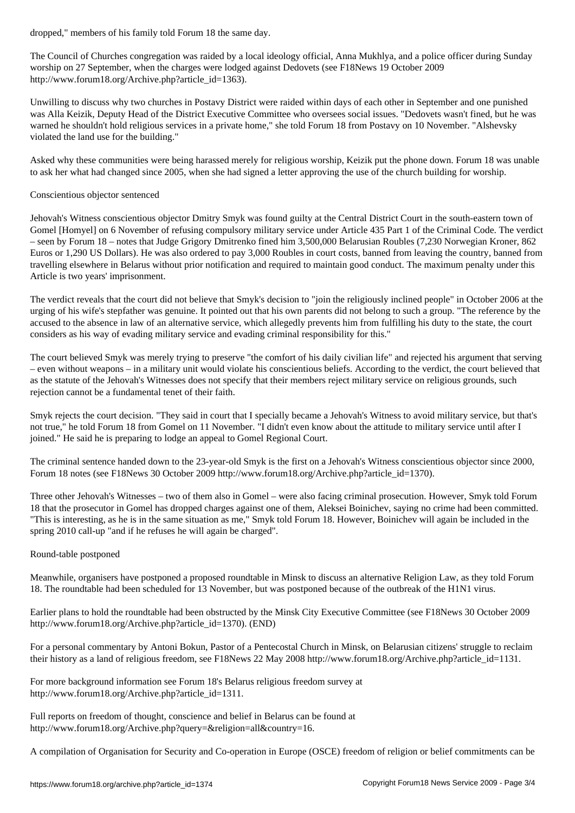The Council of Churches congregation was raided by a local ideology official, Anna Mukhlya, and a police officer during Sunday worship on 27 September, when the charges were lodged against Dedovets (see F18News 19 October 2009 http://www.forum18.org/Archive.php?article\_id=1363).

Unwilling to discuss why two churches in Postavy District were raided within days of each other in September and one punished was Alla Keizik, Deputy Head of the District Executive Committee who oversees social issues. "Dedovets wasn't fined, but he was warned he shouldn't hold religious services in a private home," she told Forum 18 from Postavy on 10 November. "Alshevsky violated the land use for the building."

Asked why these communities were being harassed merely for religious worship, Keizik put the phone down. Forum 18 was unable to ask her what had changed since 2005, when she had signed a letter approving the use of the church building for worship.

## Conscientious objector sentenced

Jehovah's Witness conscientious objector Dmitry Smyk was found guilty at the Central District Court in the south-eastern town of Gomel [Homyel] on 6 November of refusing compulsory military service under Article 435 Part 1 of the Criminal Code. The verdict – seen by Forum 18 – notes that Judge Grigory Dmitrenko fined him 3,500,000 Belarusian Roubles (7,230 Norwegian Kroner, 862 Euros or 1,290 US Dollars). He was also ordered to pay 3,000 Roubles in court costs, banned from leaving the country, banned from travelling elsewhere in Belarus without prior notification and required to maintain good conduct. The maximum penalty under this Article is two years' imprisonment.

The verdict reveals that the court did not believe that Smyk's decision to "join the religiously inclined people" in October 2006 at the urging of his wife's stepfather was genuine. It pointed out that his own parents did not belong to such a group. "The reference by the accused to the absence in law of an alternative service, which allegedly prevents him from fulfilling his duty to the state, the court considers as his way of evading military service and evading criminal responsibility for this."

The court believed Smyk was merely trying to preserve "the comfort of his daily civilian life" and rejected his argument that serving – even without weapons – in a military unit would violate his conscientious beliefs. According to the verdict, the court believed that as the statute of the Jehovah's Witnesses does not specify that their members reject military service on religious grounds, such rejection cannot be a fundamental tenet of their faith.

Smyk rejects the court decision. "They said in court that I specially became a Jehovah's Witness to avoid military service, but that's not true," he told Forum 18 from Gomel on 11 November. "I didn't even know about the attitude to military service until after I joined." He said he is preparing to lodge an appeal to Gomel Regional Court.

The criminal sentence handed down to the 23-year-old Smyk is the first on a Jehovah's Witness conscientious objector since 2000, Forum 18 notes (see F18News 30 October 2009 http://www.forum18.org/Archive.php?article\_id=1370).

Three other Jehovah's Witnesses – two of them also in Gomel – were also facing criminal prosecution. However, Smyk told Forum 18 that the prosecutor in Gomel has dropped charges against one of them, Aleksei Boinichev, saying no crime had been committed. "This is interesting, as he is in the same situation as me," Smyk told Forum 18. However, Boinichev will again be included in the spring 2010 call-up "and if he refuses he will again be charged".

## Round-table postponed

Meanwhile, organisers have postponed a proposed roundtable in Minsk to discuss an alternative Religion Law, as they told Forum 18. The roundtable had been scheduled for 13 November, but was postponed because of the outbreak of the H1N1 virus.

Earlier plans to hold the roundtable had been obstructed by the Minsk City Executive Committee (see F18News 30 October 2009 http://www.forum18.org/Archive.php?article\_id=1370). (END)

For a personal commentary by Antoni Bokun, Pastor of a Pentecostal Church in Minsk, on Belarusian citizens' struggle to reclaim their history as a land of religious freedom, see F18News 22 May 2008 http://www.forum18.org/Archive.php?article\_id=1131.

For more background information see Forum 18's Belarus religious freedom survey at http://www.forum18.org/Archive.php?article\_id=1311.

Full reports on freedom of thought, conscience and belief in Belarus can be found at http://www.forum18.org/Archive.php?query=&religion=all&country=16.

A compilation of Organisation for Security and Co-operation in Europe (OSCE) freedom of religion or belief commitments can be